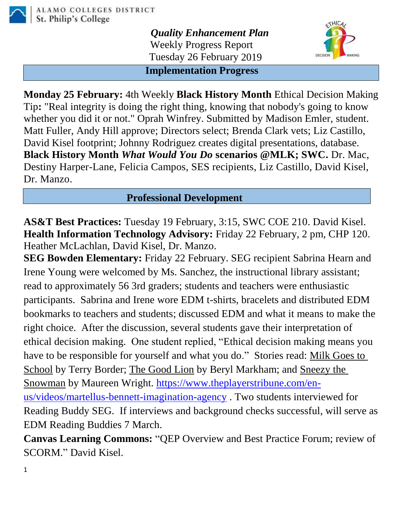

*Quality Enhancement Plan* Weekly Progress Report Tuesday 26 February 2019



**Implementation Progress**

**Monday 25 February:** 4th Weekly **Black History Month** Ethical Decision Making Tip**:** "Real integrity is doing the right thing, knowing that nobody's going to know whether you did it or not." Oprah Winfrey. Submitted by Madison Emler, student. Matt Fuller, Andy Hill approve; Directors select; Brenda Clark vets; Liz Castillo, David Kisel footprint; Johnny Rodriguez creates digital presentations, database. **Black History Month** *What Would You Do* **scenarios @MLK; SWC.** Dr. Mac, Destiny Harper-Lane, Felicia Campos, SES recipients, Liz Castillo, David Kisel, Dr. Manzo.

## **Professional Development**

**AS&T Best Practices:** Tuesday 19 February, 3:15, SWC COE 210. David Kisel. **Health Information Technology Advisory:** Friday 22 February, 2 pm, CHP 120. Heather McLachlan, David Kisel, Dr. Manzo.

**SEG Bowden Elementary:** Friday 22 February. SEG recipient Sabrina Hearn and Irene Young were welcomed by Ms. Sanchez, the instructional library assistant; read to approximately 56 3rd graders; students and teachers were enthusiastic participants. Sabrina and Irene wore EDM t-shirts, bracelets and distributed EDM bookmarks to teachers and students; discussed EDM and what it means to make the right choice. After the discussion, several students gave their interpretation of ethical decision making. One student replied, "Ethical decision making means you have to be responsible for yourself and what you do." Stories read: Milk Goes to School by Terry Border; The Good Lion by Beryl Markham; and Sneezy the Snowman by Maureen Wright. [https://www.theplayerstribune.com/en](https://www.theplayerstribune.com/en-us/videos/martellus-bennett-imagination-agency)[us/videos/martellus-bennett-imagination-agency](https://www.theplayerstribune.com/en-us/videos/martellus-bennett-imagination-agency) . Two students interviewed for Reading Buddy SEG. If interviews and background checks successful, will serve as EDM Reading Buddies 7 March.

**Canvas Learning Commons:** "QEP Overview and Best Practice Forum; review of SCORM." David Kisel.

1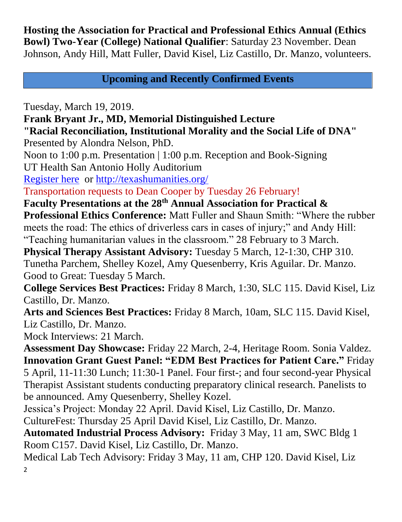**Hosting the Association for Practical and Professional Ethics Annual (Ethics Bowl) Two-Year (College) National Qualifier**: Saturday 23 November. Dean Johnson, Andy Hill, Matt Fuller, David Kisel, Liz Castillo, Dr. Manzo, volunteers.

**Upcoming and Recently Confirmed Events**

Tuesday, March 19, 2019.

**Frank Bryant Jr., MD, Memorial Distinguished Lecture**

**"Racial Reconciliation, Institutional Morality and the Social Life of DNA"** Presented by Alondra Nelson, PhD.

Noon to 1:00 p.m. Presentation | 1:00 p.m. Reception and Book-Signing UT Health San Antonio Holly Auditorium

[Register here](https://mail.alamo.edu/owa/redir.aspx?C=WPcLMctRf36HQBhOP3xKgiAXs8wSV3OfyhIT7pxqsmc6Nv_tKJvWCA..&URL=https%3a%2f%2fmakelivesbetter.uthscsa.edu%2fpage.aspx%3fpid%3d1156) or<http://texashumanities.org/>

Transportation requests to Dean Cooper by Tuesday 26 February!

**Faculty Presentations at the 28th Annual Association for Practical & Professional Ethics Conference:** Matt Fuller and Shaun Smith: "Where the rubber meets the road: The ethics of driverless cars in cases of injury;" and Andy Hill: "Teaching humanitarian values in the classroom." 28 February to 3 March.

**Physical Therapy Assistant Advisory:** Tuesday 5 March, 12-1:30, CHP 310.

Tunetha Parchem, Shelley Kozel, Amy Quesenberry, Kris Aguilar. Dr. Manzo. Good to Great: Tuesday 5 March.

**College Services Best Practices:** Friday 8 March, 1:30, SLC 115. David Kisel, Liz Castillo, Dr. Manzo.

**Arts and Sciences Best Practices:** Friday 8 March, 10am, SLC 115. David Kisel, Liz Castillo, Dr. Manzo.

Mock Interviews: 21 March.

**Assessment Day Showcase:** Friday 22 March, 2-4, Heritage Room. Sonia Valdez. **Innovation Grant Guest Panel: "EDM Best Practices for Patient Care."** Friday 5 April, 11-11:30 Lunch; 11:30-1 Panel. Four first-; and four second-year Physical Therapist Assistant students conducting preparatory clinical research. Panelists to be announced. Amy Quesenberry, Shelley Kozel.

Jessica's Project: Monday 22 April. David Kisel, Liz Castillo, Dr. Manzo. CultureFest: Thursday 25 April David Kisel, Liz Castillo, Dr. Manzo.

**Automated Industrial Process Advisory:** Friday 3 May, 11 am, SWC Bldg 1 Room C157. David Kisel, Liz Castillo, Dr. Manzo.

2 Medical Lab Tech Advisory: Friday 3 May, 11 am, CHP 120. David Kisel, Liz